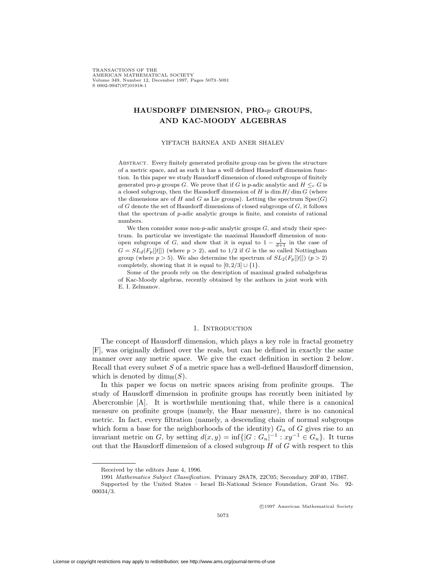TRANSACTIONS OF THE AMERICAN MATHEMATICAL SOCIETY Volume 349, Number 12, December 1997, Pages 5073–5091<br>S.0002-9947(97)01918-1 S 0002-9947(97)01918-1

## **HAUSDORFF DIMENSION, PRO-***p* **GROUPS, AND KAC-MOODY ALGEBRAS**

#### YIFTACH BARNEA AND ANER SHALEV

Abstract. Every finitely generated profinite group can be given the structure of a metric space, and as such it has a well defined Hausdorff dimension function. In this paper we study Hausdorff dimension of closed subgroups of finitely generated pro-*p* groups *G*. We prove that if *G* is *p*-adic analytic and  $H \leq_c G$  is a closed subgroup, then the Hausdorff dimension of  $H$  is  $\dim H/\dim G$  (where the dimensions are of  $H$  and  $G$  as Lie groups). Letting the spectrum  $Spec(G)$ of *G* denote the set of Hausdorff dimensions of closed subgroups of *G*, it follows that the spectrum of *p*-adic analytic groups is finite, and consists of rational numbers.

We then consider some non-*p*-adic analytic groups *G*, and study their spectrum. In particular we investigate the maximal Hausdorff dimension of nonopen subgroups of *G*, and show that it is equal to  $1 - \frac{1}{d+1}$  in the case of  $C = SL(G$  if  $E$  if  $d$  is the so called Nottingham  $G = SL_d(F_p[[t]])$  (where  $p > 2$ ), and to 1/2 if *G* is the so called Nottingham group (where  $p > 5$ ). We also determine the spectrum of  $SL_2(F_p[[t]])$  ( $p > 2$ ) completely, showing that it is equal to  $[0, 2/3] \cup \{1\}$ .

Some of the proofs rely on the description of maximal graded subalgebras of Kac-Moody algebras, recently obtained by the authors in joint work with E. I. Zelmanov.

### 1. INTRODUCTION

The concept of Hausdorff dimension, which plays a key role in fractal geometry [F], was originally defined over the reals, but can be defined in exactly the same manner over any metric space. We give the exact definition in section 2 below. Recall that every subset *S* of a metric space has a well-defined Hausdorff dimension, which is denoted by  $\dim_{\mathrm{H}}(S)$ .

In this paper we focus on metric spaces arising from profinite groups. The study of Hausdorff dimension in profinite groups has recently been initiated by Abercrombie [A]. It is worthwhile mentioning that, while there is a canonical measure on profinite groups (namely, the Haar measure), there is no canonical metric. In fact, every filtration (namely, a descending chain of normal subgroups which form a base for the neighborhoods of the identity)  $G_n$  of  $G$  gives rise to an invariant metric on *G*, by setting  $d(x, y) = \inf\{|G : G_n|^{-1} : xy^{-1} \in G_n\}$ . It turns out that the Hausdorff dimension of a closed subgroup *H* of *G* with respect to this

<sup>c</sup> 1997 American Mathematical Society

Received by the editors June 4, 1996.

<sup>1991</sup> *Mathematics Subject Classification.* Primary 28A78, 22C05; Secondary 20F40, 17B67.

Supported by the United States – Israel Bi-National Science Foundation, Grant No. 92- 00034/3.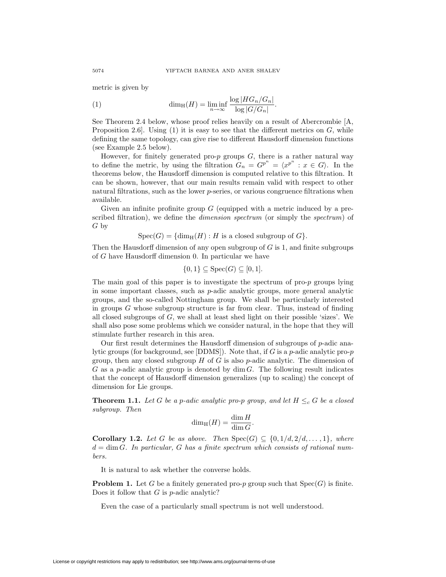metric is given by

(1) 
$$
\dim_{\mathrm{H}}(H) = \liminf_{n \to \infty} \frac{\log |HG_n/G_n|}{\log |G/G_n|}.
$$

See Theorem 2.4 below, whose proof relies heavily on a result of Abercrombie [A, Proposition 2.6]. Using (1) it is easy to see that the different metrics on *G*, while defining the same topology, can give rise to different Hausdorff dimension functions (see Example 2.5 below).

However, for finitely generated pro-*p* groups *G*, there is a rather natural way to define the metric, by using the filtration  $G_n = G^{p^n} = \langle x^{p^n} : x \in G \rangle$ . In the theorems below, the Hausdorff dimension is computed relative to this filtration. It can be shown, however, that our main results remain valid with respect to other natural filtrations, such as the lower *p*-series, or various congruence filtrations when available.

Given an infinite profinite group *G* (equipped with a metric induced by a prescribed filtration), we define the *dimension spectrum* (or simply the *spectrum*) of *G* by

 $Spec(G) = \{dim_H(H) : H$  is a closed subgroup of  $G$ .

Then the Hausdorff dimension of any open subgroup of *G* is 1, and finite subgroups of *G* have Hausdorff dimension 0. In particular we have

$$
\{0,1\} \subseteq \operatorname{Spec}(G) \subseteq [0,1].
$$

The main goal of this paper is to investigate the spectrum of pro-*p* groups lying in some important classes, such as *p*-adic analytic groups, more general analytic groups, and the so-called Nottingham group. We shall be particularly interested in groups *G* whose subgroup structure is far from clear. Thus, instead of finding all closed subgroups of *G*, we shall at least shed light on their possible 'sizes'. We shall also pose some problems which we consider natural, in the hope that they will stimulate further research in this area.

Our first result determines the Hausdorff dimension of subgroups of *p*-adic analytic groups (for background, see [DDMS]). Note that, if *G* is a *p*-adic analytic pro-*p* group, then any closed subgroup *H* of *G* is also *p*-adic analytic. The dimension of *G* as a *p*-adic analytic group is denoted by dim *G*. The following result indicates that the concept of Hausdorff dimension generalizes (up to scaling) the concept of dimension for Lie groups.

**Theorem 1.1.** Let *G* be a *p*-adic analytic pro-*p* group, and let  $H \leq_c G$  be a closed *subgroup. Then*

$$
\dim_{\rm H}(H) = \frac{\dim H}{\dim G}.
$$

**Corollary 1.2.** *Let G be as above. Then*  $Spec(G) \subseteq \{0, 1/d, 2/d, \ldots, 1\}$ *, where d* = dim *G. In particular, G has a finite spectrum which consists of rational numbers.*

It is natural to ask whether the converse holds.

**Problem 1.** Let *G* be a finitely generated pro-*p* group such that  $Spec(G)$  is finite. Does it follow that *G* is *p*-adic analytic?

Even the case of a particularly small spectrum is not well understood.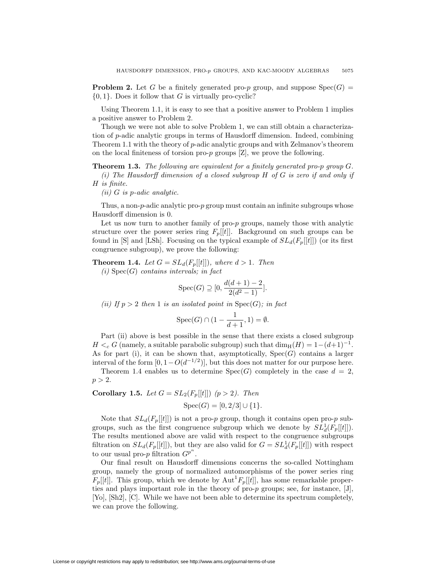**Problem 2.** Let *G* be a finitely generated pro-*p* group, and suppose  $Spec(G)$ *{*0*,* 1*}*. Does it follow that *G* is virtually pro-cyclic?

Using Theorem 1.1, it is easy to see that a positive answer to Problem 1 implies a positive answer to Problem 2.

Though we were not able to solve Problem 1, we can still obtain a characterization of *p*-adic analytic groups in terms of Hausdorff dimension. Indeed, combining Theorem 1.1 with the theory of *p*-adic analytic groups and with Zelmanov's theorem on the local finiteness of torsion pro-*p* groups [Z], we prove the following.

**Theorem 1.3.** *The following are equivalent for a finitely generated pro-p group G. (i) The Hausdorff dimension of a closed subgroup H of G is zero if and only if H is finite.*

*(ii) G is p-adic analytic.*

Thus, a non-*p*-adic analytic pro-*p* group must contain an infinite subgroups whose Hausdorff dimension is 0.

Let us now turn to another family of pro-*p* groups, namely those with analytic structure over the power series ring  $F_p[[t]]$ . Background on such groups can be found in [S] and [LSh]. Focusing on the typical example of  $SL_d(F_p[[t]])$  (or its first congruence subgroup), we prove the following:

**Theorem 1.4.** Let  $G = SL_d(F_p[[t]])$ , where  $d > 1$ . Then *(i)* Spec(*G*) *contains intervals; in fact*

$$
Spec(G) \supseteq [0, \frac{d(d+1)-2}{2(d^2-1)}].
$$

*(ii)* If  $p > 2$  then 1 *is an isolated point in* Spec $(G)$ *; in fact* 

$$
\text{Spec}(G) \cap (1 - \frac{1}{d+1}, 1) = \emptyset.
$$

Part (ii) above is best possible in the sense that there exists a closed subgroup *H*  $\lt_c$  *G* (namely, a suitable parabolic subgroup) such that  $\dim_{\text{H}}(H) = 1-(d+1)^{-1}$ . As for part (i), it can be shown that, asymptotically,  $Spec(G)$  contains a larger interval of the form  $[0, 1 - O(d^{-1/2})]$ , but this does not matter for our purpose here.

Theorem 1.4 enables us to determine  $Spec(G)$  completely in the case  $d = 2$ ,  $p > 2$ .

**Corollary 1.5.** Let 
$$
G = SL_2(F_p[[t]]) (p > 2)
$$
. Then  
\n
$$
Spec(G) = [0, 2/3] \cup \{1\}.
$$

Note that  $SL_d(F_p[[t]])$  is not a pro-*p* group, though it contains open pro-*p* subgroups, such as the first congruence subgroup which we denote by  $SL_d^1(F_p[[t]])$ . The results mentioned above are valid with respect to the congruence subgroups filtration on  $SL_d(F_p[[t]])$ , but they are also valid for  $G = SL_d^1(F_p[[t]])$  with respect to our usual pro- $p$  filtration  $G^{p^n}$ .

Our final result on Hausdorff dimensions concerns the so-called Nottingham group, namely the group of normalized automorphisms of the power series ring  $F_p[[t]]$ . This group, which we denote by  $\text{Aut}^1F_p[[t]]$ , has some remarkable properties and plays important role in the theory of pro-*p* groups; see, for instance, [J], [Yo], [Sh2], [C]. While we have not been able to determine its spectrum completely, we can prove the following.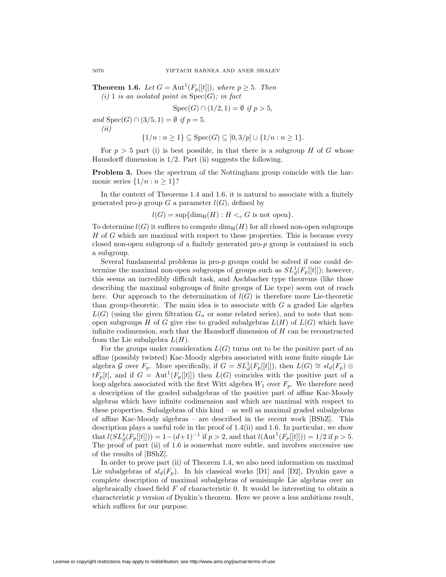**Theorem 1.6.** *Let*  $G = \text{Aut}^1(F_p[[t]])$ *, where*  $p \geq 5$ *. Then*  $(i)$  1 *is an isolated point in*  $Spec(G)$ *; in fact* 

$$
Spec(G) \cap (1/2, 1) = \emptyset \text{ if } p > 5,
$$

*and*  $Spec(G) \cap (3/5, 1) = \emptyset$  *if*  $p = 5$ *. (ii)*

$$
\{1/n : n \ge 1\} \subseteq \text{Spec}(G) \subseteq [0, 3/p] \cup \{1/n : n \ge 1\}.
$$

For  $p > 5$  part (i) is best possible, in that there is a subgroup *H* of *G* whose Hausdorff dimension is 1*/*2. Part (ii) suggests the following.

**Problem 3.** Does the spectrum of the Nottingham group coincide with the harmonic series  $\{1/n : n \geq 1\}$ ?

In the context of Theorems 1.4 and 1.6, it is natural to associate with a finitely generated pro- $p$  group  $G$  a parameter  $l(G)$ , defined by

 $l(G) = \sup\{\dim_H(H) : H <_{c} G \text{ is not open}\}.$ 

To determine  $l(G)$  it suffices to compute  $\dim_H(H)$  for all closed non-open subgroups *H* of *G* which are maximal with respect to these properties. This is because every closed non-open subgroup of a finitely generated pro-*p* group is contained in such a subgroup.

Several fundamental problems in pro-*p* groups could be solved if one could determine the maximal non-open subgroups of groups such as  $SL_d^1(F_p[[t]])$ ; however, this seems an incredibly difficult task, and Aschbacher type theorems (like those describing the maximal subgroups of finite groups of Lie type) seem out of reach here. Our approach to the determination of  $l(G)$  is therefore more Lie-theoretic than group-theoretic. The main idea is to associate with *G* a graded Lie algebra  $L(G)$  (using the given filtration  $G_n$  or some related series), and to note that nonopen subgroups *H* of *G* give rise to graded subalgebras  $L(H)$  of  $L(G)$  which have infinite codimension, such that the Hausdorff dimension of *H* can be reconstructed from the Lie subalgebra *L*(*H*).

For the groups under consideration  $L(G)$  turns out to be the positive part of an affine (possibly twisted) Kac-Moody algebra associated with some finite simple Lie algebra *G* over  $F_p$ . More specifically, if  $G = SL_d^1(F_p[[t]])$ , then  $L(G) \cong sl_d(F_p) \otimes$  $tF_p[t]$ , and if  $G = \text{Aut}^1(F_p[[t]])$  then  $L(G)$  coincides with the positive part of a loop algebra associated with the first Witt algebra  $W_1$  over  $F_p$ . We therefore need a description of the graded subalgebras of the positive part of affine Kac-Moody algebras which have infinite codimension and which are maximal with respect to these properties. Subalgebras of this kind – as well as maximal graded subalgebras of affine Kac-Moody algebras – are described in the recent work [BShZ]. This description plays a useful role in the proof of 1.4(ii) and 1.6. In particular, we show that  $l(SL_d^1(F_p[[t]])) = 1 - (d+1)^{-1}$  if  $p > 2$ , and that  $l(\text{Aut}^1(F_p[[t]])) = 1/2$  if  $p > 5$ . The proof of part (ii) of 1.6 is somewhat more subtle, and involves successive use of the results of [BShZ].

In order to prove part (ii) of Theorem 1.4, we also need information on maximal Lie subalgebras of  $sl_d(F_p)$ . In his classical works [D1] and [D2], Dynkin gave a complete description of maximal subalgebras of semisimple Lie algebras over an algebraically closed field *F* of characteristic 0. It would be interesting to obtain a characteristic *p* version of Dynkin's theorem. Here we prove a less ambitions result, which suffices for our purpose.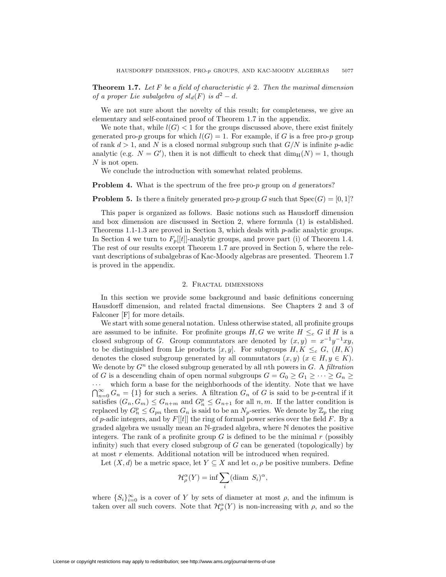**Theorem 1.7.** Let F be a field of characteristic  $\neq 2$ . Then the maximal dimension *of a proper Lie subalgebra of*  $sl_d(F)$  *is*  $d^2 - d$ *.* 

We are not sure about the novelty of this result; for completeness, we give an elementary and self-contained proof of Theorem 1.7 in the appendix.

We note that, while  $l(G)$  < 1 for the groups discussed above, there exist finitely generated pro-*p* groups for which  $l(G) = 1$ . For example, if G is a free pro-*p* group of rank *d >* 1, and *N* is a closed normal subgroup such that *G/N* is infinite *p*-adic analytic (e.g.  $N = G'$ ), then it is not difficult to check that  $\dim_{\mathcal{H}}(N) = 1$ , though *N* is not open.

We conclude the introduction with somewhat related problems.

**Problem 4.** What is the spectrum of the free pro-*p* group on *d* generators?

**Problem 5.** Is there a finitely generated pro-*p* group *G* such that  $Spec(G) = [0, 1]$ ?

This paper is organized as follows. Basic notions such as Hausdorff dimension and box dimension are discussed in Section 2, where formula (1) is established. Theorems 1.1-1.3 are proved in Section 3, which deals with *p*-adic analytic groups. In Section 4 we turn to  $F_p[[t]]$ -analytic groups, and prove part (i) of Theorem 1.4. The rest of our results except Theorem 1.7 are proved in Section 5, where the relevant descriptions of subalgebras of Kac-Moody algebras are presented. Theorem 1.7 is proved in the appendix.

## 2. Fractal dimensions

In this section we provide some background and basic definitions concerning Hausdorff dimension, and related fractal dimensions. See Chapters 2 and 3 of Falconer [F] for more details.

We start with some general notation. Unless otherwise stated, all profinite groups are assumed to be infinite. For profinite groups  $H, G$  we write  $H \leq_c G$  if  $H$  is a closed subgroup of *G*. Group commutators are denoted by  $(x, y) = x^{-1}y^{-1}xy$ , to be distinguished from Lie products  $[x, y]$ . For subgroups  $H, K \leq_c G$ ,  $(H, K)$ denotes the closed subgroup generated by all commutators  $(x, y)$  ( $x \in H, y \in K$ ). We denote by *G<sup>n</sup>* the closed subgroup generated by all *n*th powers in *G*. A *filtration* of *G* is a descending chain of open normal subgroups  $G = G_0 \ge G_1 \ge \cdots \ge G_n \ge$ 

*···* which form a base for the neighborhoods of the identity. Note that we have  $\bigcap_{n=0}^{\infty} G_n = \{1\}$  for such a series. A filtration  $G_n$  of *G* is said to be *p*-central if it satisfies  $(G_n, G_m) \leq G_{n+m}$  and  $G_n^p \leq G_{n+1}$  for all  $n, m$ . If the latter condition is replaced by  $G_n^p \leq G_{pn}$  then  $G_n$  is said to be an  $N_p$ -series. We denote by  $\mathbb{Z}_p$  the ring of *p*-adic integers, and by *F*[[*t*]] the ring of formal power series over the field *F*. By a graded algebra we usually mean an N-graded algebra, where N denotes the positive integers. The rank of a profinite group  $G$  is defined to be the minimal  $r$  (possibly infinity) such that every closed subgroup of *G* can be generated (topologically) by at most *r* elements. Additional notation will be introduced when required.

Let  $(X, d)$  be a metric space, let  $Y \subseteq X$  and let  $\alpha, \rho$  be positive numbers. Define

$$
\mathcal{H}_{\rho}^{\alpha}(Y) = \inf \sum_{i} (\text{diam } S_{i})^{\alpha},
$$

where  ${S_i}_{i=0}^{\infty}$  is a cover of *Y* by sets of diameter at most  $\rho$ , and the infimum is taken over all such covers. Note that  $\mathcal{H}_{\rho}^{\alpha}(Y)$  is non-increasing with  $\rho$ , and so the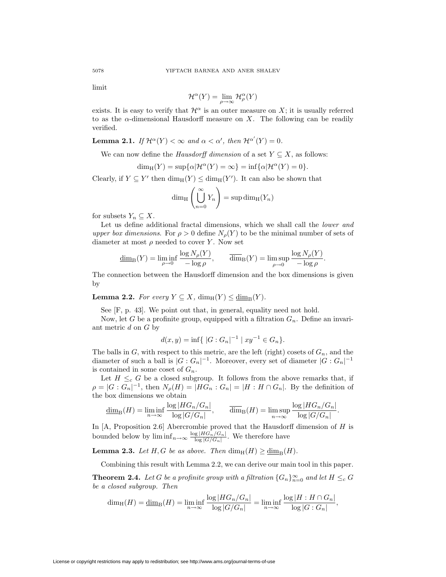limit

$$
\mathcal{H}^{\alpha}(Y) = \lim_{\rho \to \infty} \mathcal{H}^{\alpha}_{\rho}(Y)
$$

exists. It is easy to verify that  $\mathcal{H}^{\alpha}$  is an outer measure on X; it is usually referred to as the *α*-dimensional Hausdorff measure on *X*. The following can be readily verified.

**Lemma 2.1.** *If*  $\mathcal{H}^{\alpha}(Y) < \infty$  *and*  $\alpha < \alpha'$ *, then*  $\mathcal{H}^{\alpha'}(Y) = 0$ *.* 

We can now define the *Hausdorff dimension* of a set  $Y \subseteq X$ , as follows:

$$
\dim_{\mathrm{H}}(Y) = \sup \{ \alpha | \mathcal{H}^{\alpha}(Y) = \infty \} = \inf \{ \alpha | \mathcal{H}^{\alpha}(Y) = 0 \}.
$$

Clearly, if  $Y \subseteq Y'$  then  $\dim_{\mathcal{H}}(Y) \leq \dim_{\mathcal{H}}(Y')$ . It can also be shown that

$$
\dim_{\mathrm{H}}\left(\bigcup_{n=0}^{\infty}Y_n\right)=\sup\dim_{\mathrm{H}}(Y_n)
$$

for subsets  $Y_n \subseteq X$ .

Let us define additional fractal dimensions, which we shall call the *lower and upper box dimensions.* For  $\rho > 0$  define  $N_{\rho}(Y)$  to be the minimal number of sets of diameter at most *ρ* needed to cover *Y* . Now set

$$
\underline{\dim}_{\mathrm{B}}(Y) = \liminf_{\rho \to 0} \frac{\log N_{\rho}(Y)}{-\log \rho}, \qquad \overline{\dim}_{\mathrm{B}}(Y) = \limsup_{\rho \to 0} \frac{\log N_{\rho}(Y)}{-\log \rho}.
$$

The connection between the Hausdorff dimension and the box dimensions is given by

**Lemma 2.2.** *For every*  $Y \subseteq X$ ,  $\dim_{\mathbb{H}}(Y) \leq \dim_{\mathbb{R}}(Y)$ *.* 

See [F, p. 43]. We point out that, in general, equality need not hold.

Now, let *G* be a profinite group, equipped with a filtration *Gn*. Define an invariant metric *d* on *G* by

$$
d(x, y) = \inf \{ |G : G_n|^{-1} | xy^{-1} \in G_n \}.
$$

The balls in *G*, with respect to this metric, are the left (right) cosets of *Gn*, and the diameter of such a ball is  $|G: G_n|^{-1}$ . Moreover, every set of diameter  $|G: G_n|^{-1}$ is contained in some coset of  $G_n$ .

Let  $H \leq_c G$  be a closed subgroup. It follows from the above remarks that, if  $\rho = |G: G_n|^{-1}$ , then  $N_{\rho}(H) = |HG_n: G_n| = |H:H \cap G_n|$ . By the definition of the box dimensions we obtain

$$
\underline{\dim}_{\mathrm{B}}(H) = \liminf_{n \to \infty} \frac{\log |HG_n/G_n|}{\log |G/G_n|}, \qquad \overline{\dim}_{\mathrm{B}}(H) = \limsup_{n \to \infty} \frac{\log |HG_n/G_n|}{\log |G/G_n|}.
$$

In [A, Proposition 2.6] Abercrombie proved that the Hausdorff dimension of *H* is bounded below by  $\liminf_{n\to\infty} \frac{\log |H G_n / G_n|}{\log |G / G_n|}$ . We therefore have

**Lemma 2.3.** *Let H*, *G be as above. Then*  $\dim_{\rm H}(H) \ge \dim_{\rm B}(H)$ *.* 

Combining this result with Lemma 2.2, we can derive our main tool in this paper.

**Theorem 2.4.** *Let G be a profinite group with a filtration*  $\{G_n\}_{n=0}^{\infty}$  *and let*  $H \leq_c G$ *be a closed subgroup. Then*

$$
\dim_{\mathrm{H}}(H) = \underline{\dim}_{\mathrm{B}}(H) = \liminf_{n \to \infty} \frac{\log |HG_n/G_n|}{\log |G/G_n|} = \liminf_{n \to \infty} \frac{\log |H:H \cap G_n|}{\log |G:G_n|},
$$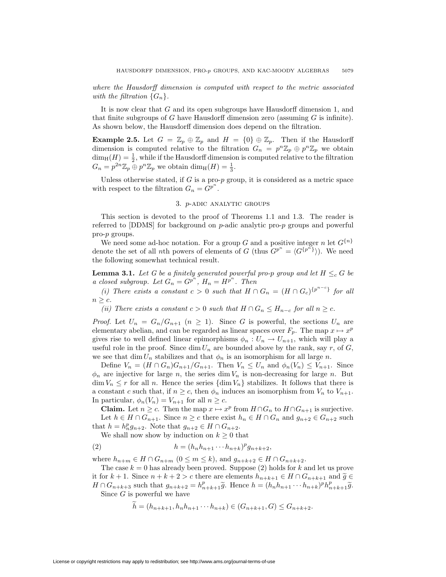*where the Hausdorff dimension is computed with respect to the metric associated with the filtration*  ${G_n}$ .

It is now clear that *G* and its open subgroups have Hausdorff dimension 1, and that finite subgroups of *G* have Hausdorff dimension zero (assuming *G* is infinite). As shown below, the Hausdorff dimension does depend on the filtration.

**Example 2.5.** Let  $G = \mathbb{Z}_p \oplus \mathbb{Z}_p$  and  $H = \{0\} \oplus \mathbb{Z}_p$ . Then if the Hausdorff dimension is computed relative to the filtration  $G_n = p^n \mathbb{Z}_p \oplus p^n \mathbb{Z}_p$  we obtain  $\dim_{\mathrm{H}}(H) = \frac{1}{2}$ , while if the Hausdorff dimension is computed relative to the filtration  $G_n = p^{2n} \mathbb{Z}_p \oplus p^n \mathbb{Z}_p$  we obtain  $\dim_{\mathrm{H}}(H) = \frac{1}{3}$ .

Unless otherwise stated, if *G* is a pro-*p* group, it is considered as a metric space with respect to the filtration  $G_n = G^{p^n}$ .

### 3. *p*-adic analytic groups

This section is devoted to the proof of Theorems 1.1 and 1.3. The reader is referred to [DDMS] for background on *p*-adic analytic pro-*p* groups and powerful pro-*p* groups.

We need some ad-hoc notation. For a group *G* and a positive integer *n* let  $G^{n}$ denote the set of all *n*th powers of elements of *G* (thus  $G^{p^n} = \langle G^{\{p^n\}} \rangle$ ). We need the following somewhat technical result.

**Lemma 3.1.** *Let G be a finitely generated powerful pro-p group and let*  $H \leq_c G$  *be a closed subgroup. Let*  $G_n = G^{p^n}$ ,  $H_n = H^{p^n}$ . Then

*(i)* There exists a constant  $c > 0$  such that  $H \cap G_n = (H \cap G_c)^{\{p^{n-c}\}}$  for all  $n > c$ *.* 

*(ii)* There exists a constant  $c > 0$  such that  $H \cap G_n \leq H_{n-c}$  for all  $n \geq c$ .

*Proof.* Let  $U_n = G_n/G_{n+1}$   $(n \geq 1)$ . Since *G* is powerful, the sections  $U_n$  are elementary abelian, and can be regarded as linear spaces over  $F_p$ . The map  $x \mapsto x^p$ gives rise to well defined linear epimorphisms  $\phi_n: U_n \to U_{n+1}$ , which will play a useful role in the proof. Since  $\dim U_n$  are bounded above by the rank, say *r*, of *G*, we see that dim  $U_n$  stabilizes and that  $\phi_n$  is an isomorphism for all large *n*.

Define  $V_n = (H \cap G_n)G_{n+1}/G_{n+1}$ . Then  $V_n \leq U_n$  and  $\phi_n(V_n) \leq V_{n+1}$ . Since  $\phi_n$  are injective for large *n*, the series dim  $V_n$  is non-decreasing for large *n*. But  $\dim V_n \leq r$  for all *n*. Hence the series  $\{\dim V_n\}$  stabilizes. It follows that there is a constant *c* such that, if  $n \geq c$ , then  $\phi_n$  induces an isomorphism from  $V_n$  to  $V_{n+1}$ . In particular,  $\phi_n(V_n) = V_{n+1}$  for all  $n \geq c$ .

**Claim.** Let  $n \geq c$ . Then the map  $x \mapsto x^p$  from  $H \cap G_n$  to  $H \cap G_{n+1}$  is surjective. Let *h* ∈ *H* ∩  $G_{n+1}$ . Since  $n \ge c$  there exist  $h_n \in H \cap G_n$  and  $g_{n+2} \in G_{n+2}$  such that  $h = h_n^p g_{n+2}$ . Note that  $g_{n+2} \in H \cap G_{n+2}$ .

We shall now show by induction on  $k \geq 0$  that

(2) 
$$
h = (h_n h_{n+1} \cdots h_{n+k})^p g_{n+k+2},
$$

where  $h_{n+m}$  ∈ *H* ∩  $G_{n+m}$  (0 ≤  $m \leq k$ ), and  $g_{n+k+2}$  ∈ *H* ∩  $G_{n+k+2}$ .

The case  $k = 0$  has already been proved. Suppose  $(2)$  holds for  $k$  and let us prove it for *k* + 1. Since  $n + k + 2 > c$  there are elements  $h_{n+k+1} ∈ H ∩ G_{n+k+1}$  and  $\tilde{g} ∈$  $H \cap G_{n+k+3}$  such that  $g_{n+k+2} = h_{n+k+1}^p \widetilde{g}$ . Hence  $h = (h_n h_{n+1} \cdots h_{n+k})^p h_{n+k+1}^p \widetilde{g}$ .<br>Since *C* is powerful we have Since *G* is powerful we have

 $h = (h_{n+k+1}, h_n h_{n+1} \cdots h_{n+k}) \in (G_{n+k+1}, G) \leq G_{n+k+2}.$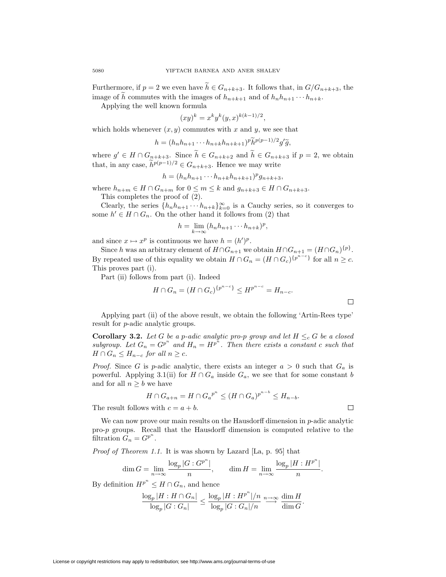Furthermore, if  $p = 2$  we even have  $h \in G_{n+k+3}$ . It follows that, in  $G/G_{n+k+3}$ , the image of *h* commutes with the images of  $h_{n+k+1}$  and of  $h_n h_{n+1} \cdots h_{n+k}$ .

Applying the well known formula

$$
(xy)^k = x^k y^k (y, x)^{k(k-1)/2},
$$

which holds whenever  $(x, y)$  commutes with  $x$  and  $y$ , we see that

$$
h = (h_n h_{n+1} \cdots h_{n+k} h_{n+k+1})^p \widetilde{h}^{p(p-1)/2} g' \widetilde{g},
$$

where  $g' \in H \cap G_{n+k+3}$ . Since  $h \in G_{n+k+2}$  and  $h \in G_{n+k+3}$  if  $p = 2$ , we obtain that, in any case,  $\tilde{h}^{p(p-1)/2} \in G_{n+k+3}$ . Hence we may write

$$
h = (h_n h_{n+1} \cdots h_{n+k} h_{n+k+1})^p g_{n+k+3},
$$

where  $h_{n+m} \in H \cap G_{n+m}$  for  $0 \leq m \leq k$  and  $g_{n+k+3} \in H \cap G_{n+k+3}$ .

This completes the proof of (2).

Clearly, the series  $\{h_n h_{n+1} \cdots h_{n+k}\}_{k=0}^{\infty}$  is a Cauchy series, so it converges to some  $h' \in H \cap G_n$ . On the other hand it follows from (2) that

$$
h = \lim_{k \to \infty} (h_n h_{n+1} \cdots h_{n+k})^p,
$$

and since  $x \mapsto x^p$  is continuous we have  $h = (h')^p$ .

Since *h* was an arbitrary element of  $H \cap G_{n+1}$  we obtain  $H \cap G_{n+1} = (H \cap G_n)^{\{p\}}$ . By repeated use of this equality we obtain  $H \cap G_n = (H \cap G_c)^{\{p^{n-c}\}}$  for all  $n \geq c$ . This proves part (i).

Part (ii) follows from part (i). Indeed

$$
H \cap G_n = (H \cap G_c)^{\{p^{n-c}\}} \le H^{p^{n-c}} = H_{n-c}.
$$

Applying part (ii) of the above result, we obtain the following 'Artin-Rees type' result for *p*-adic analytic groups.

**Corollary 3.2.** *Let G be a p-adic analytic pro-p group and let*  $H \leq_c G$  *be a closed subgroup.* Let  $G_n = G^{p^n}$  and  $H_n = H^{p^n}$ . Then there exists a constant c such that  $H \cap G_n \leq H_{n-c}$  *for all*  $n \geq c$ *.* 

*Proof.* Since *G* is *p*-adic analytic, there exists an integer  $a > 0$  such that  $G_a$  is powerful. Applying 3.1(ii) for  $H \cap G_a$  inside  $G_a$ , we see that for some constant *b* and for all  $n \geq b$  we have

$$
H \cap G_{a+n} = H \cap G_a^{p^n} \le (H \cap G_a)^{p^{n-b}} \le H_{n-b}.
$$

The result follows with  $c = a + b$ .

We can now prove our main results on the Hausdorff dimension in *p*-adic analytic pro-*p* groups. Recall that the Hausdorff dimension is computed relative to the filtration  $G_n = G^{p^n}$ .

*Proof of Theorem 1.1.* It is was shown by Lazard [La, p. 95] that

$$
\dim G = \lim_{n \to \infty} \frac{\log_p |G : G^{p^n}|}{n}, \qquad \dim H = \lim_{n \to \infty} \frac{\log_p |H : H^{p^n}|}{n}.
$$

By definition  $H^{p^n} \leq H \cap G_n$ , and hence

$$
\frac{\log_p|H:H\cap G_n|}{\log_p|G:G_n|}\leq \frac{\log_p|H:H^{p^n}|/n}{\log_p|G:G_n|/n}\stackrel{n\to\infty}\longrightarrow \frac{\dim H}{\dim G}.
$$

 $\Box$ 

 $\Box$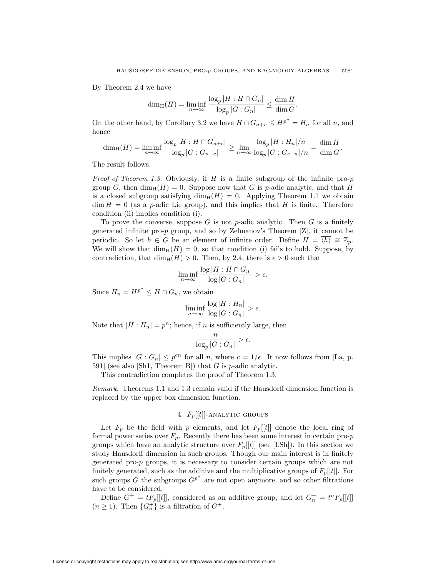By Theorem 2.4 we have

$$
\dim_{\mathrm{H}}(H) = \liminf_{n \to \infty} \frac{\log_p |H: H \cap G_n|}{\log_p |G: G_n|} \le \frac{\dim H}{\dim G}.
$$

On the other hand, by Corollary 3.2 we have  $H \cap G_{n+c} \leq H^{p^n} = H_n$  for all *n*, and hence

$$
\dim_{\mathrm{H}}(H) = \liminf_{n \to \infty} \frac{\log_p |H: H \cap G_{n+c}|}{\log_p |G: G_{n+c}|} \ge \lim_{n \to \infty} \frac{\log_p |H: H_n|/n}{\log_p |G: G_{c+n}|/n} = \frac{\dim H}{\dim G}.
$$

The result follows.

*Proof of Theorem 1.3.* Obviously, if *H* is a finite subgroup of the infinite pro-*p* group *G*, then  $\dim_{\text{H}}(H) = 0$ . Suppose now that *G* is *p*-adic analytic, and that *H* is a closed subgroup satisfying  $\dim_H(H) = 0$ . Applying Theorem 1.1 we obtain  $\dim H = 0$  (as a *p*-adic Lie group), and this implies that *H* is finite. Therefore condition (ii) implies condition (i).

To prove the converse, suppose *G* is not *p*-adic analytic. Then *G* is a finitely generated infinite pro-*p* group, and so by Zelmanov's Theorem [Z], it cannot be periodic. So let  $h \in G$  be an element of infinite order. Define  $H = \overline{\langle h \rangle} \cong \mathbb{Z}_p$ . We will show that  $\dim_{\rm H}(H) = 0$ , so that condition (i) fails to hold. Suppose, by contradiction, that  $\dim_{\mathbb{H}}(H) > 0$ . Then, by 2.4, there is  $\epsilon > 0$  such that

$$
\liminf_{n \to \infty} \frac{\log |H : H \cap G_n|}{\log |G : G_n|} > \epsilon.
$$

Since  $H_n = H^{p^n} \leq H \cap G_n$ , we obtain

$$
\liminf_{n \to \infty} \frac{\log |H : H_n|}{\log |G : G_n|} > \epsilon.
$$

Note that  $|H : H_n| = p^n$ ; hence, if *n* is sufficiently large, then

$$
\frac{n}{\log_p|G:G_n|} > \epsilon.
$$

This implies  $|G: G_n| \leq p^{cn}$  for all *n*, where  $c = 1/\epsilon$ . It now follows from [La, p. 591] (see also [Sh1, Theorem B]) that *G* is *p*-adic analytic.

This contradiction completes the proof of Theorem 1.3.

*Remark.* Theorems 1.1 and 1.3 remain valid if the Hausdorff dimension function is replaced by the upper box dimension function.

# 4. *Fp*[[*t*]]-analytic groups

Let  $F_p$  be the field with *p* elements, and let  $F_p[[t]]$  denote the local ring of formal power series over  $F_p$ . Recently there has been some interest in certain pro- $p$ groups which have an analytic structure over  $F_p[[t]]$  (see [LSh]). In this section we study Hausdorff dimension in such groups. Though our main interest is in finitely generated pro-*p* groups, it is necessary to consider certain groups which are not finitely generated, such as the additive and the multiplicative groups of  $F_p[[t]]$ . For such groups  $G$  the subgroups  $G^{p^n}$  are not open anymore, and so other filtrations have to be considered.

Define  $G^+ = tF_p[[t]]$ , considered as an additive group, and let  $G_n^+ = t^n F_p[[t]]$  $(n \geq 1)$ . Then  $\{G_n^+\}$  is a filtration of  $G^+$ .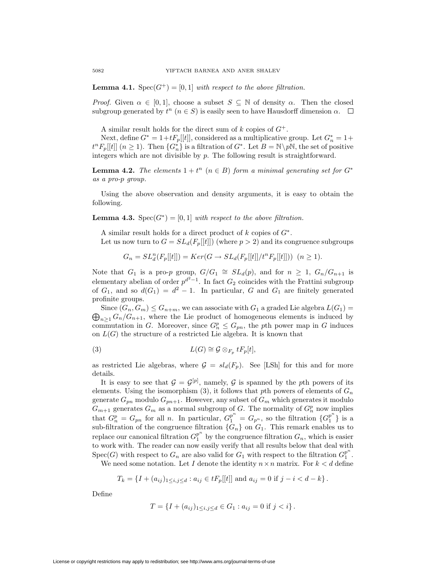**Lemma 4.1.** Spec $(G^+) = [0, 1]$  *with respect to the above filtration.* 

*Proof.* Given  $\alpha \in [0,1]$ , choose a subset  $S \subseteq \mathbb{N}$  of density  $\alpha$ . Then the closed subgroup generated by  $t^n$  ( $n \in S$ ) is easily seen to have Hausdorff dimension  $\alpha$ .  $\Box$ 

A similar result holds for the direct sum of  $k$  copies of  $G^+$ .

Next, define  $G^* = 1 + tF_p[[t]]$ , considered as a multiplicative group. Let  $G^*_n = 1 +$  $t^n F_p[[t]]$   $(n \geq 1)$ . Then  $\{G_n^*\}$  is a filtration of  $G^*$ . Let  $B = \mathbb{N} \setminus p\mathbb{N}$ , the set of positive integers which are not divisible by *p*. The following result is straightforward.

**Lemma 4.2.** *The elements*  $1 + t^n$   $(n \in B)$  *form a minimal generating set for*  $G^*$ *as a pro-p group.*

Using the above observation and density arguments, it is easy to obtain the following.

**Lemma 4.3.** Spec $(G^*)$  = [0,1] *with respect to the above filtration.* 

A similar result holds for a direct product of *k* copies of *G<sup>∗</sup>*.

Let us now turn to  $G = SL_d(F_p[[t]])$  (where  $p > 2$ ) and its congruence subgroups

$$
G_n = SL_d^n(F_p[[t]]) = Ker(G \to SL_d(F_p[[t]]/t^n F_p[[t]])) \ \ (n \ge 1).
$$

Note that  $G_1$  is a pro-*p* group,  $G/G_1 \cong SL_d(p)$ , and for  $n \geq 1$ ,  $G_n/G_{n+1}$  is elementary abelian of order  $p^{d^2-1}$ . In fact  $G_2$  coincides with the Frattini subgroup of  $G_1$ , and so  $d(G_1) = d^2 - 1$ . In particular, *G* and  $G_1$  are finitely generated profinite groups.

 $\bigoplus_{n\geq 1} G_n/G_{n+1}$ , where the Lie product of homogeneous elements is induced by Since  $(G_n, G_m) \leq G_{n+m}$ , we can associate with  $G_1$  a graded Lie algebra  $L(G_1)$  = commutation in *G*. Moreover, since  $G_n^p \leq G_{pn}$ , the *p*th power map in *G* induces on  $L(G)$  the structure of a restricted Lie algebra. It is known that

(3) 
$$
L(G) \cong \mathcal{G} \otimes_{F_p} tF_p[t],
$$

as restricted Lie algebras, where  $\mathcal{G} = sl_d(F_p)$ . See [LSh] for this and for more details.

It is easy to see that  $G = \mathcal{G}^{[p]}$ , namely, G is spanned by the pth powers of its elements. Using the isomorphism  $(3)$ , it follows that *pth* powers of elements of  $G_n$ generate  $G_{pn}$  modulo  $G_{pn+1}$ . However, any subset of  $G_m$  which generates it modulo  $G_{m+1}$  generates  $G_m$  as a normal subgroup of *G*. The normality of  $G_n^p$  now implies that  $G_n^p = G_{pn}$  for all *n*. In particular,  $G_1^{p^n} = G_{p^n}$ , so the filtration  $\{G_1^{p^n}\}$  is a sub-filtration of the congruence filtration  ${G_n}$  on  $G_1$ . This remark enables us to replace our canonical filtration  $G_1^{p^n}$  by the congruence filtration  $G_n$ , which is easier to work with. The reader can now easily verify that all results below that deal with  $Spec(G)$  with respect to  $G_n$  are also valid for  $G_1$  with respect to the filtration  $G_1^{p^n}$ .

We need some notation. Let *I* denote the identity  $n \times n$  matrix. For  $k < d$  define

$$
T_k = \{I + (a_{ij})_{1 \le i,j \le d} : a_{ij} \in tF_p[[t]] \text{ and } a_{ij} = 0 \text{ if } j - i < d - k\}.
$$

Define

$$
T = \{I + (a_{ij})_{1 \le i,j \le d} \in G_1 : a_{ij} = 0 \text{ if } j < i\}.
$$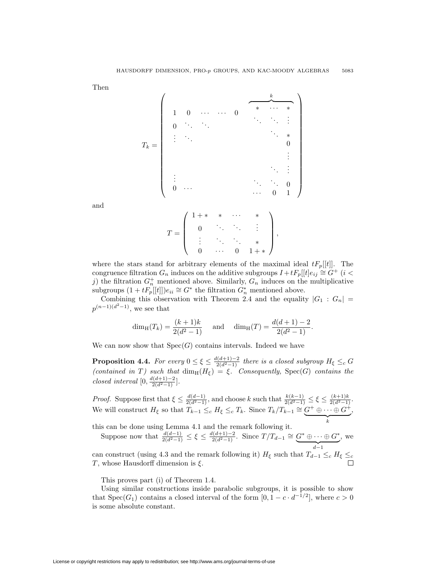Then

$$
T_k = \left(\begin{array}{cccccc} & & & & & & & & k & & \\ 1 & 0 & \cdots & \cdots & 0 & * & \cdots & * \\ & & & & & & & & \ddots & \ddots & \vdots \\ & & & & & & & & & \ddots & * \\ & & & & & & & & & & 0 \\ \vdots & & & & & & & & & & 0 \\ & & & & & & & & & & \ddots & \vdots \\ & & & & & & & & & & & \ddots & \vdots \\ & & & & & & & & & & & \ddots & \vdots \\ & & & & & & & & & & & & \ddots & \vdots \\ 0 & \cdots & & & & & & & & & & 0 & 1 \end{array}\right)
$$

and

$$
T = \left( \begin{array}{cccc} 1+* & * & \cdots & * \\ 0 & \ddots & \ddots & \vdots \\ \vdots & \ddots & \ddots & * \\ 0 & \cdots & 0 & 1+* \end{array} \right),
$$

where the stars stand for arbitrary elements of the maximal ideal  $tF_p[[t]]$ . The congruence filtration  $G_n$  induces on the additive subgroups  $I + tF_p[[t]e_{ij} \cong G^+(i \leq \mathbb{Z})$ *j*) the filtration  $G_n^+$  mentioned above. Similarly,  $G_n$  induces on the multiplicative subgroups  $(1 + tF_p[[t]])e_{ii}$  ≃  $G^*$  the filtration  $G^*$ <sup>*n*</sup> mentioned above.

Combining this observation with Theorem 2.4 and the equality  $|G_1: G_n|$  $p^{(n-1)(d^2-1)}$ , we see that

$$
\dim_{\mathrm{H}}(T_k) = \frac{(k+1)k}{2(d^2-1)} \quad \text{and} \quad \dim_{\mathrm{H}}(T) = \frac{d(d+1)-2}{2(d^2-1)}.
$$

We can now show that  $Spec(G)$  contains intervals. Indeed we have

**Proposition 4.4.** For every  $0 \leq \xi \leq \frac{d(d+1)-2}{2(d^2-1)}$  there is a closed subgroup  $H_{\xi} \leq_c G$  $(contained \in T) \text{ such that } \dim_{\text{H}}(H_{\xi}) = \xi$ . Consequently, Spec(*G*) *contains the*  $\frac{d(d+1)-2}{2(d^2-1)}$ .

*Proof.* Suppose first that  $\xi \leq \frac{d(d-1)}{2(d^2-1)}$ , and choose k such that  $\frac{k(k-1)}{2(d^2-1)} \leq \xi \leq \frac{(k+1)k}{2(d^2-1)}$ . We will construct  $H_{\xi}$  so that  $T_{k-1} \leq_c H_{\xi} \leq_c T_k$ . Since  $T_k/T_{k-1} \cong G^+ \oplus \cdots \oplus G^+$ ,  $\frac{k}{k}$ 

this can be done using Lemma 4.1 and the remark following it.

Suppose now that  $\frac{d(d-1)}{2(d^2-1)} \leq \xi \leq \frac{d(d+1)-2}{2(d^2-1)}$ . Since  $T/T_{d-1} \cong G^* \oplus \cdots \oplus G^*$ | {z } *<sup>d</sup>−*<sup>1</sup> , we

can construct (using 4.3 and the remark following it)  $H_{\xi}$  such that  $T_{d-1} \leq_c H_{\xi} \leq_c$ *T* , whose Hausdorff dimension is *ξ*.

This proves part (i) of Theorem 1.4.

Using similar constructions inside parabolic subgroups, it is possible to show that  $Spec(G_1)$  contains a closed interval of the form  $[0, 1 - c \cdot d^{-1/2}]$ , where  $c > 0$ is some absolute constant.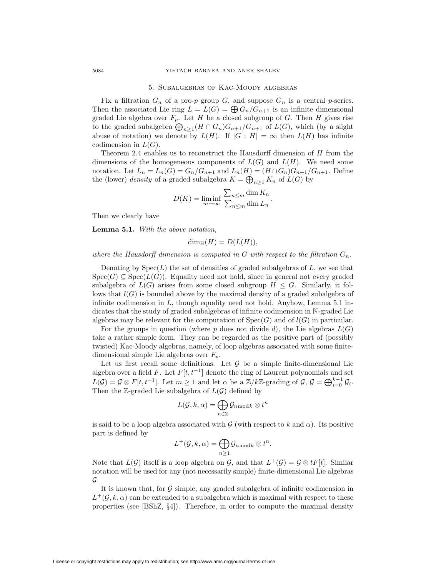#### 5. Subalgebras of Kac-Moody algebras

Fix a filtration  $G_n$  of a pro-*p* group  $G$ , and suppose  $G_n$  is a central *p*-series. Then the associated Lie ring  $L = L(G) = \bigoplus G_n/G_{n+1}$  is an infinite dimensional graded Lie algebra over  $F_p$ . Let *H* be a closed subgroup of *G*. Then *H* gives rise to the graded subalgebra  $\bigoplus_{n\geq 1} (H \cap G_n)G_{n+1}/G_{n+1}$  of  $L(G)$ , which (by a slight abuse of notation) we denote by  $L(H)$ . If  $|G : H| = \infty$  then  $L(H)$  has infinite codimension in  $L(G)$ .

Theorem 2.4 enables us to reconstruct the Hausdorff dimension of *H* from the dimensions of the homogeneous components of  $L(G)$  and  $L(H)$ . We need some notation. Let  $L_n = L_n(G) = G_n/G_{n+1}$  and  $L_n(H) = (H \cap G_n)G_{n+1}/G_{n+1}$ . Define the (lower) *density* of a graded subalgebra  $K = \bigoplus_{n \geq 1} K_n$  of  $L(G)$  by

$$
D(K) = \liminf_{m \to \infty} \frac{\sum_{n \le m} \dim K_n}{\sum_{n \le m} \dim L_n}.
$$

Then we clearly have

**Lemma 5.1.** *With the above notation,*

$$
\dim_{\rm H}(H) = D(L(H)),
$$

where the Hausdorff dimension is computed in  $G$  with respect to the filtration  $G_n$ .

Denoting by  $Spec(L)$  the set of densities of graded subalgebras of  $L$ , we see that  $Spec(G) \subseteq Spec(L(G))$ . Equality need not hold, since in general not every graded subalgebra of  $L(G)$  arises from some closed subgroup  $H \leq G$ . Similarly, it follows that *l*(*G*) is bounded above by the maximal density of a graded subalgebra of infinite codimension in *L*, though equality need not hold. Anyhow, Lemma 5.1 indicates that the study of graded subalgebras of infinite codimension in N-graded Lie algebras may be relevant for the computation of  $Spec(G)$  and of  $l(G)$  in particular.

For the groups in question (where *p* does not divide *d*), the Lie algebras  $L(G)$ take a rather simple form. They can be regarded as the positive part of (possibly twisted) Kac-Moody algebras, namely, of loop algebras associated with some finitedimensional simple Lie algebras over *Fp*.

Let us first recall some definitions. Let *G* be a simple finite-dimensional Lie algebra over a field *F*. Let  $F[t, t^{-1}]$  denote the ring of Laurent polynomials and set  $L(\mathcal{G}) = \mathcal{G} \otimes F[t, t^{-1}]$ . Let  $m \geq 1$  and let  $\alpha$  be a  $\mathbb{Z}/k\mathbb{Z}$ -grading of  $\mathcal{G}, \mathcal{G} = \bigoplus_{i=0}^{k-1} \mathcal{G}_i$ . Then the Z-graded Lie subalgebra of  $L(G)$  defined by

$$
L(\mathcal{G},k,\alpha)=\bigoplus_{n\in\mathbb{Z}}\mathcal{G}_{n\, \mathrm{mod}\, k}\otimes t^n
$$

is said to be a loop algebra associated with  $G$  (with respect to  $k$  and  $\alpha$ ). Its positive part is defined by

$$
L^+(\mathcal{G}, k, \alpha) = \bigoplus_{n \geq 1} \mathcal{G}_{n \bmod k} \otimes t^n.
$$

Note that  $L(G)$  itself is a loop algebra on *G*, and that  $L^+(G) = G \otimes tF[t]$ . Similar notation will be used for any (not necessarily simple) finite-dimensional Lie algebras *G*.

It is known that, for *G* simple, any graded subalgebra of infinite codimension in  $L^+(\mathcal{G},k,\alpha)$  can be extended to a subalgebra which is maximal with respect to these properties (see [BShZ, *§*4]). Therefore, in order to compute the maximal density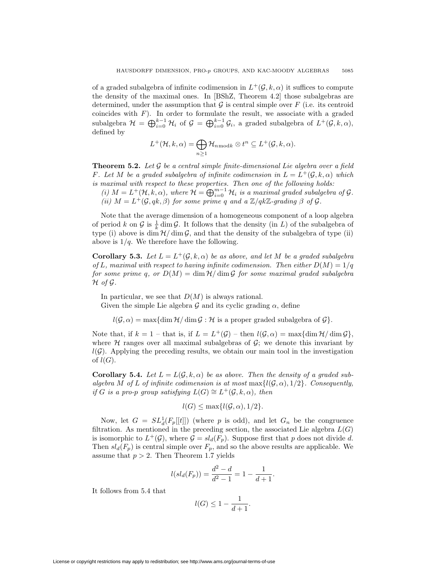of a graded subalgebra of infinite codimension in  $L^+(\mathcal{G}, k, \alpha)$  it suffices to compute the density of the maximal ones. In [BShZ, Theorem 4.2] those subalgebras are determined, under the assumption that  $G$  is central simple over  $F$  (i.e. its centroid coincides with  $F$ ). In order to formulate the result, we associate with a graded subalgebra  $\mathcal{H} = \bigoplus_{i=0}^{k-1} \mathcal{H}_i$  of  $\mathcal{G} = \bigoplus_{i=0}^{k-1} \mathcal{G}_i$ , a graded subalgebra of  $L^+(\mathcal{G}, k, \alpha)$ , defined by

$$
L^+(\mathcal{H}, k, \alpha) = \bigoplus_{n \geq 1} \mathcal{H}_{n \bmod k} \otimes t^n \subseteq L^+(\mathcal{G}, k, \alpha).
$$

**Theorem 5.2.** *Let G be a central simple finite-dimensional Lie algebra over a field F.* Let *M* be a graded subalgebra of infinite codimension in  $L = L^+(G, k, \alpha)$  which *is maximal with respect to these properties. Then one of the following holds:*

 $(i)$   $M = L^+(\mathcal{H}, k, \alpha)$ , where  $\mathcal{H} = \bigoplus_{i=0}^{m-1} \mathcal{H}_i$  is a maximal graded subalgebra of  $\mathcal{G}$ *. (ii)*  $M = L^+(\mathcal{G}, qk, \beta)$  *for some prime q and a*  $\mathbb{Z}/qk\mathbb{Z}$ -grading  $\beta$  *of*  $\mathcal{G}$ *.* 

Note that the average dimension of a homogeneous component of a loop algebra of period k on  $\mathcal G$  is  $\frac{1}{k}$  dim  $\mathcal G$ . It follows that the density (in L) of the subalgebra of type (i) above is  $\dim \mathcal{H}/\dim \mathcal{G}$ , and that the density of the subalgebra of type (ii) above is 1*/q*. We therefore have the following.

**Corollary 5.3.** *Let*  $L = L^+(\mathcal{G}, k, \alpha)$  *be as above, and let*  $M$  *be a graded subalgebra of L, maximal with respect to having infinite codimension. Then either*  $D(M) = 1/q$ *for some prime q, or*  $D(M) = \dim \mathcal{H}/\dim \mathcal{G}$  *for some maximal graded subalgebra*  $H$  *of*  $G$ *.* 

In particular, we see that *D*(*M*) is always rational.

Given the simple Lie algebra  $\mathcal G$  and its cyclic grading  $\alpha$ , define

 $l(G, \alpha) = \max\{\dim \mathcal{H}/\dim \mathcal{G} : \mathcal{H} \text{ is a proper graded subalgebra of } \mathcal{G}\}.$ 

Note that, if  $k = 1$  – that is, if  $L = L^+(G)$  – then  $l(G, \alpha) = \max\{\dim \mathcal{H}/\dim \mathcal{G}\}\,$ , where  $H$  ranges over all maximal subalgebras of  $G$ ; we denote this invariant by  $l(G)$ . Applying the preceding results, we obtain our main tool in the investigation of  $l(G)$ .

**Corollary 5.4.** Let  $L = L(G, k, \alpha)$  be as above. Then the density of a graded sub*algebra M* of *L* of infinite codimension is at most max $\{l(G, \alpha), 1/2\}$ . Consequently, *if G is a pro-p group satisfying*  $L(G) \cong L^+(G, k, \alpha)$ *, then* 

$$
l(G) \le \max\{l(G, \alpha), 1/2\}.
$$

Now, let  $G = SL_d^1(F_p[[t]])$  (where p is odd), and let  $G_n$  be the congruence filtration. As mentioned in the preceding section, the associated Lie algebra  $L(G)$ is isomorphic to  $L^+(\mathcal{G})$ , where  $\mathcal{G} = sl_d(F_p)$ . Suppose first that p does not divide d. Then  $sl_d(F_p)$  is central simple over  $F_p$ , and so the above results are applicable. We assume that  $p > 2$ . Then Theorem 1.7 yields

$$
l(sl_d(F_p)) = \frac{d^2 - d}{d^2 - 1} = 1 - \frac{1}{d + 1}.
$$

It follows from 5.4 that

$$
l(G) \le 1 - \frac{1}{d+1}.
$$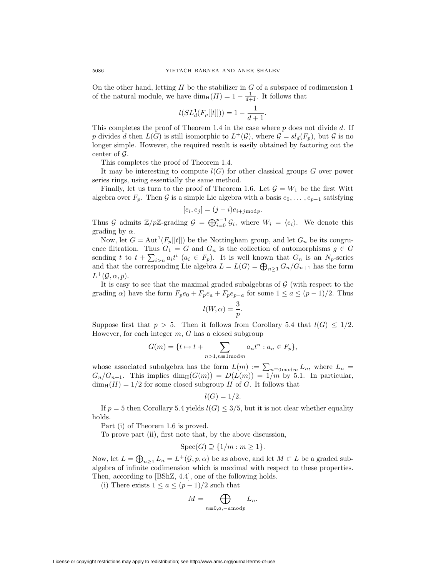On the other hand, letting *H* be the stabilizer in *G* of a subspace of codimension 1 of the natural module, we have  $\dim_{\mathrm{H}}(H)=1 - \frac{1}{d+1}$ . It follows that

$$
l(SL_d^1(F_p[[t]])) = 1 - \frac{1}{d+1}.
$$

This completes the proof of Theorem 1.4 in the case where *p* does not divide *d*. If *p* divides *d* then  $L(G)$  is still isomorphic to  $L^+(G)$ , where  $\mathcal{G} = sl_d(F_p)$ , but  $\mathcal G$  is no longer simple. However, the required result is easily obtained by factoring out the center of *G*.

This completes the proof of Theorem 1.4.

It may be interesting to compute  $l(G)$  for other classical groups  $G$  over power series rings, using essentially the same method.

Finally, let us turn to the proof of Theorem 1.6. Let  $\mathcal{G} = W_1$  be the first Witt algebra over  $F_p$ . Then  $\mathcal G$  is a simple Lie algebra with a basis  $e_0, \ldots, e_{p-1}$  satisfying

$$
[e_i, e_j] = (j - i)e_{i + j \bmod p}.
$$

Thus *G* admits  $\mathbb{Z}/p\mathbb{Z}$ -grading  $G = \bigoplus_{i=0}^{p-1} G_i$ , where  $W_i = \langle e_i \rangle$ . We denote this grading by  $\alpha$ .

Now, let  $G = \text{Aut}^1(F_p[[t]])$  be the Nottingham group, and let  $G_n$  be its congruence filtration. Thus  $G_1 = G$  and  $G_n$  is the collection of automorphisms  $g \in G$ sending *t* to  $t + \sum_{i>n} a_i t^i$  ( $a_i \in F_p$ ). It is well known that  $G_n$  is an  $N_p$ -series and that the corresponding Lie algebra  $L = L(G) = \bigoplus_{n \geq 1} G_n / G_{n+1}$  has the form  $L^+(\mathcal{G}, \alpha, p)$ .

It is easy to see that the maximal graded subalgebras of *G* (with respect to the grading *α*) have the form  $F_p e_0 + F_p e_a + F_p e_{p-a}$  for some  $1 \le a \le (p-1)/2$ . Thus

$$
l(W, \alpha) = \frac{3}{p}.
$$

Suppose first that  $p > 5$ . Then it follows from Corollary 5.4 that  $l(G) \leq 1/2$ . However, for each integer *m*, *G* has a closed subgroup

$$
G(m) = \{t \mapsto t + \sum_{n>1, n \equiv 1 \bmod m} a_n t^n : a_n \in F_p\},\
$$

whose associated subalgebra has the form  $L(m) := \sum_{n \equiv 0 \pmod{m}} L_n$ , where  $L_n =$  $G_n/G_{n+1}$ . This implies dim<sub>H</sub>( $G(m)$ ) =  $D(L(m)) = 1/m$  by 5.1. In particular,  $\dim_{\rm H}(H)=1/2$  for some closed subgroup *H* of *G*. It follows that

$$
l(G)=1/2.
$$

If  $p = 5$  then Corollary 5.4 yields  $l(G) \leq 3/5$ , but it is not clear whether equality holds.

Part (i) of Theorem 1.6 is proved.

To prove part (ii), first note that, by the above discussion,

$$
Spec(G) \supseteq \{1/m : m \ge 1\}.
$$

Now, let  $L = \bigoplus_{n \geq 1} L_n = L^+(\mathcal{G}, p, \alpha)$  be as above, and let  $M \subset L$  be a graded subalgebra of infinite codimension which is maximal with respect to these properties. Then, according to [BShZ, 4.4], one of the following holds.

(i) There exists  $1 ≤ a ≤ (p − 1)/2$  such that

$$
M = \bigoplus_{n \equiv 0, a, -a \bmod p} L_n.
$$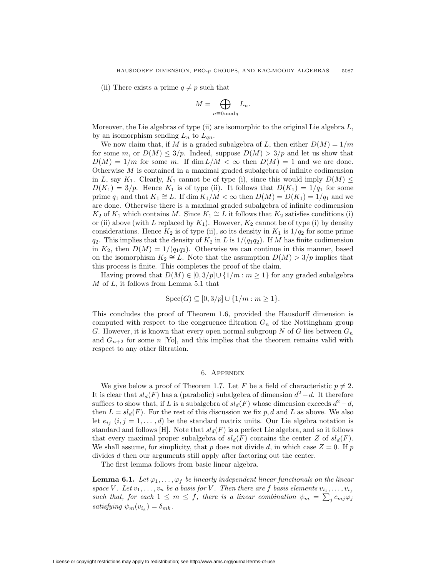(ii) There exists a prime  $q \neq p$  such that

$$
M = \bigoplus_{n \equiv 0 \bmod q} L_n.
$$

Moreover, the Lie algebras of type (ii) are isomorphic to the original Lie algebra *L*, by an isomorphism sending  $L_n$  to  $L_{qn}$ .

We now claim that, if *M* is a graded subalgebra of *L*, then either  $D(M) = 1/m$ for some *m*, or  $D(M) \leq 3/p$ . Indeed, suppose  $D(M) > 3/p$  and let us show that  $D(M) = 1/m$  for some *m*. If dim  $L/M < \infty$  then  $D(M) = 1$  and we are done. Otherwise *M* is contained in a maximal graded subalgebra of infinite codimension in *L*, say *K*<sub>1</sub>. Clearly, *K*<sub>1</sub> cannot be of type (i), since this would imply  $D(M) \leq$  $D(K_1)=3/p$ . Hence  $K_1$  is of type (ii). It follows that  $D(K_1)=1/q_1$  for some prime  $q_1$  and that  $K_1 \cong L$ . If dim  $K_1/M < \infty$  then  $D(M) = D(K_1) = 1/q_1$  and we are done. Otherwise there is a maximal graded subalgebra of infinite codimension *K*<sub>2</sub> of *K*<sub>1</sub> which contains *M*. Since *K*<sub>1</sub>  $\cong$  *L* it follows that *K*<sub>2</sub> satisfies conditions (i) or (ii) above (with *L* replaced by  $K_1$ ). However,  $K_2$  cannot be of type (i) by density considerations. Hence  $K_2$  is of type (ii), so its density in  $K_1$  is  $1/q_2$  for some prime *q*<sub>2</sub>. This implies that the density of  $K_2$  in *L* is  $1/(q_1q_2)$ . If *M* has finite codimension in  $K_2$ , then  $D(M) = 1/(q_1q_2)$ . Otherwise we can continue in this manner, based on the isomorphism  $K_2 \cong L$ . Note that the assumption  $D(M) > 3/p$  implies that this process is finite. This completes the proof of the claim.

Having proved that  $D(M) \in [0, 3/p] \cup \{1/m : m \geq 1\}$  for any graded subalgebra *M* of *L*, it follows from Lemma 5.1 that

$$
Spec(G) \subseteq [0,3/p] \cup \{1/m : m \ge 1\}.
$$

This concludes the proof of Theorem 1.6, provided the Hausdorff dimension is computed with respect to the congruence filtration  $G_n$  of the Nottingham group *G*. However, it is known that every open normal subgroup *N* of *G* lies between *G<sup>n</sup>* and  $G_{n+2}$  for some *n* [Yo], and this implies that the theorem remains valid with respect to any other filtration.

## 6. Appendix

We give below a proof of Theorem 1.7. Let F be a field of characteristic  $p \neq 2$ . It is clear that  $sl_d(F)$  has a (parabolic) subalgebra of dimension  $d^2 - d$ . It therefore suffices to show that, if *L* is a subalgebra of  $sl_d(F)$  whose dimension exceeds  $d^2 - d$ , then  $L = sl_d(F)$ . For the rest of this discussion we fix p, d and L as above. We also let  $e_{ij}$   $(i, j = 1, \ldots, d)$  be the standard matrix units. Our Lie algebra notation is standard and follows [H]. Note that  $sl_d(F)$  is a perfect Lie algebra, and so it follows that every maximal proper subalgebra of  $sl_d(F)$  contains the center *Z* of  $sl_d(F)$ . We shall assume, for simplicity, that  $p$  does not divide  $d$ , in which case  $Z = 0$ . If  $p$ divides *d* then our arguments still apply after factoring out the center.

The first lemma follows from basic linear algebra.

**Lemma 6.1.** *Let*  $\varphi_1, \ldots, \varphi_f$  *be linearly independent linear functionals on the linear space V*. Let  $v_1, \ldots, v_n$  be a basis for *V*. Then there are *f* basis elements  $v_{i_1}, \ldots, v_{i_f}$ *such that, for each*  $1 \leq m \leq f$ , there is a linear combination  $\psi_m = \sum_i c_{mj} \varphi_j$ *satisfying*  $\psi_m(v_{i_k}) = \delta_{mk}$ *.*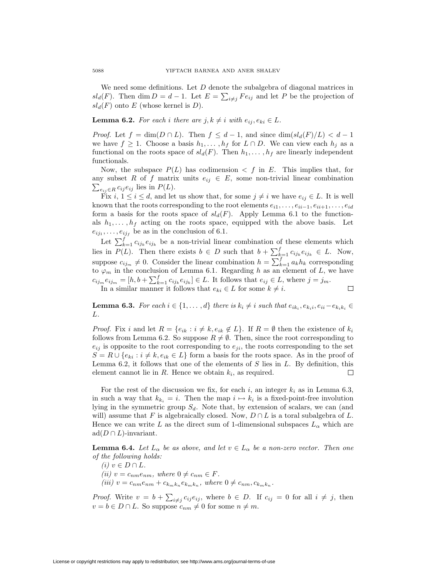We need some definitions. Let *D* denote the subalgebra of diagonal matrices in *sl*<sub>*d*</sub>(*F*). Then dim  $D = d - 1$ . Let  $E = \sum_{i \neq j} F e_{ij}$  and let *P* be the projection of  $sl_d(F)$  onto *E* (whose kernel is *D*).

## **Lemma 6.2.** *For each i there are*  $j, k \neq i$  *with*  $e_{ij}, e_{ki} \in L$ *.*

*Proof.* Let  $f = \dim(D \cap L)$ . Then  $f \leq d - 1$ , and since  $\dim(sl_d(F)/L) < d - 1$ we have  $f \geq 1$ . Choose a basis  $h_1, \ldots, h_f$  for  $L \cap D$ . We can view each  $h_j$  as a functional on the roots space of  $sl_d(F)$ . Then  $h_1, \ldots, h_f$  are linearly independent functionals.

Now, the subspace  $P(L)$  has codimension  $\langle f \rangle$  in *E*. This implies that, for any subset R of f matrix units  $e_{ij} \in E$ , some non-trivial linear combination  $\sum_{e_{ij} \in R} c_{ij} e_{ij}$  lies in  $P(L)$ .

Fix  $i, 1 \leq i \leq d$ , and let us show that, for some  $j \neq i$  we have  $e_{ij} \in L$ . It is well known that the roots corresponding to the root elements  $e_{i1}, \ldots, e_{ii-1}, e_{ii+1}, \ldots, e_{id}$ form a basis for the roots space of  $sl_d(F)$ . Apply Lemma 6.1 to the functionals  $h_1, \ldots, h_f$  acting on the roots space, equipped with the above basis. Let  $e_{ij_1}, \ldots, e_{ij_f}$  be as in the conclusion of 6.1.

Let  $\sum_{k=1}^{f} c_{ijk} e_{ijk}$  be a non-trivial linear combination of these elements which lies in  $P(L)$ . Then there exists  $b \in D$  such that  $b + \sum_{k=1}^{f} c_{ijk} e_{ijk} \in L$ . Now, suppose  $c_{ij_m} \neq 0$ . Consider the linear combination  $h = \sum_{k=1}^{f} a_k h_k$  corresponding to  $\varphi_m$  in the conclusion of Lemma 6.1. Regarding *h* as an element of *L*, we have  $c_{ij_m}e_{ij_m}=[h,b+\sum_{k=1}^f c_{ijk}e_{ijk}]\in L$ . It follows that  $e_{ij}\in L$ , where  $j=j_m$ .  $\Box$ 

In a similar manner it follows that  $e_{ki} \in L$  for some  $k \neq i$ .

**Lemma 6.3.** For each  $i \in \{1, ..., d\}$  there is  $k_i \neq i$  such that  $e_{ik_i}, e_{k_i}$ ,  $e_{ii} - e_{k_i k_i} \in$ *L.*

*Proof.* Fix *i* and let  $R = \{e_{ik} : i \neq k, e_{ik} \notin L\}$ . If  $R = \emptyset$  then the existence of  $k_i$ follows from Lemma 6.2. So suppose  $R \neq \emptyset$ . Then, since the root corresponding to  $e_{ij}$  is opposite to the root corresponding to  $e_{ji}$ , the roots corresponding to the set  $S = R \cup \{e_{ki} : i \neq k, e_{ik} \in L\}$  form a basis for the roots space. As in the proof of Lemma 6.2, it follows that one of the elements of *S* lies in *L*. By definition, this element cannot lie in *R*. Hence we obtain *ki*, as required.  $\Box$ 

For the rest of the discussion we fix, for each  $i$ , an integer  $k_i$  as in Lemma 6.3, in such a way that  $k_{k_i} = i$ . Then the map  $i \mapsto k_i$  is a fixed-point-free involution lying in the symmetric group  $S_d$ . Note that, by extension of scalars, we can (and will) assume that *F* is algebraically closed. Now,  $D \cap L$  is a toral subalgebra of  $L$ . Hence we can write L as the direct sum of 1-dimensional subspaces  $L_{\alpha}$  which are ad( $D \cap L$ )-invariant.

**Lemma 6.4.** *Let*  $L_{\alpha}$  *be as above, and let*  $v \in L_{\alpha}$  *be a non-zero vector. Then one of the following holds:*

 $(i)$   $$  $(iii)$   $v = c_{nm}e_{nm}$ , where  $0 \neq c_{nm} \in F$ . (iii)  $v = c_{nm}e_{nm} + c_{k_{m}k_{n}}e_{k_{m}k_{n}}$ , where  $0 \neq c_{nm}, c_{k_{m}k_{n}}$ .

*Proof.* Write  $v = b + \sum_{i \neq j} c_{ij} e_{ij}$ , where  $b \in D$ . If  $c_{ij} = 0$  for all  $i \neq j$ , then  $v = b \in D \cap L$ . So suppose  $c_{nm} \neq 0$  for some  $n \neq m$ .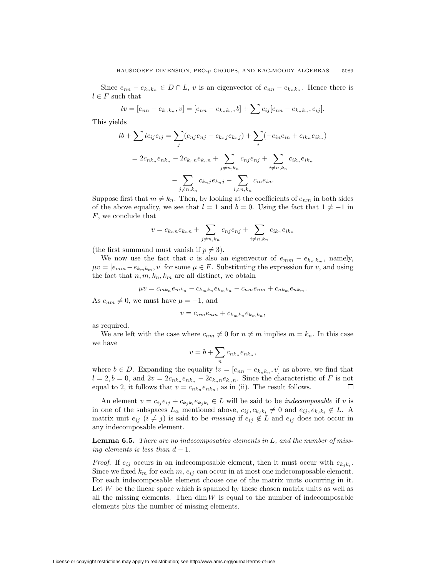Since  $e_{nn} - e_{k_n k_n} \in D \cap L$ , v is an eigenvector of  $e_{nn} - e_{k_n k_n}$ . Hence there is  $l \in F$  such that

$$
lv = [e_{nn} - e_{k_n k_n}, v] = [e_{nn} - e_{k_n k_n}, b] + \sum c_{ij} [e_{nn} - e_{k_n k_n}, e_{ij}].
$$

This yields

$$
lb + \sum lc_{ij}e_{ij} = \sum_{j} (c_{nj}e_{nj} - c_{k_{nj}}e_{k_{nj}}) + \sum_{i} (-c_{in}e_{in} + c_{ik_{n}}e_{ik_{n}})
$$
  
=  $2c_{nk_{n}}e_{nk_{n}} - 2c_{k_{n}}e_{k_{n}} + \sum_{j \neq n,k_{n}} c_{nj}e_{nj} + \sum_{i \neq n,k_{n}} c_{ik_{n}}e_{ik_{n}} - \sum_{j \neq n,k_{n}} c_{k_{n}}j e_{k_{n}}j - \sum_{i \neq n,k_{n}} c_{in}e_{in}.$ 

Suppose first that  $m \neq k_n$ . Then, by looking at the coefficients of  $e_{nm}$  in both sides of the above equality, we see that  $l = 1$  and  $b = 0$ . Using the fact that  $1 \neq -1$  in *F*, we conclude that

$$
v = c_{k_n n} e_{k_n n} + \sum_{j \neq n, k_n} c_{nj} e_{nj} + \sum_{i \neq n, k_n} c_{ik_n} e_{ik_n}
$$

(the first summand must vanish if  $p \neq 3$ ).

We now use the fact that *v* is also an eigenvector of  $e_{mm} - e_{k_m k_m}$ , namely,  $\mu v = [e_{mm} - e_{k_m k_m}, v]$  for some  $\mu \in F$ . Substituting the expression for *v*, and using the fact that  $n, m, k_n, k_m$  are all distinct, we obtain

$$
\mu v = c_{mk_n}e_{mk_n} - c_{k_mk_n}e_{k_mk_n} - c_{nm}e_{nm} + c_{nk_m}e_{nk_m}.
$$

As  $c_{nm} \neq 0$ , we must have  $\mu = -1$ , and

$$
v = c_{nm}e_{nm} + c_{k_mk_n}e_{k_mk_n},
$$

as required.

We are left with the case where  $c_{nm} \neq 0$  for  $n \neq m$  implies  $m = k_n$ . In this case we have

$$
v = b + \sum_{n} c_{nk_n} e_{nk_n},
$$

where  $b \in D$ . Expanding the equality  $lv = [e_{nn} - e_{k_n k_n}, v]$  as above, we find that  $l = 2, b = 0$ , and  $2v = 2c_{nk_n}e_{nk_n} - 2c_{k_n}e_{k_n}$ . Since the characteristic of *F* is not equal to 2, it follows that  $v = c_{nk_n}e_{nk_n}$ , as in (ii). The result follows. □

An element  $v = c_{ij}e_{ij} + c_{k_jk_i}e_{k_ik_i} \in L$  will be said to be *indecomposable* if *v* is in one of the subspaces  $L_{\alpha}$  mentioned above,  $c_{ij}, c_{k_j k_i} \neq 0$  and  $e_{ij}, e_{k_j k_i} \notin L$ . A matrix unit  $e_{ij}$  ( $i \neq j$ ) is said to be *missing* if  $e_{ij} \notin L$  and  $e_{ij}$  does not occur in any indecomposable element.

**Lemma 6.5.** *There are no indecomposables elements in L, and the number of missing elements is less than*  $d-1$ *.* 

*Proof.* If  $e_{ij}$  occurs in an indecomposable element, then it must occur with  $e_{k_ik_i}$ . Since we fixed  $k_m$  for each  $m$ ,  $e_{ij}$  can occur in at most one indecomposable element. For each indecomposable element choose one of the matrix units occurring in it. Let *W* be the linear space which is spanned by these chosen matrix units as well as all the missing elements. Then  $\dim W$  is equal to the number of indecomposable elements plus the number of missing elements.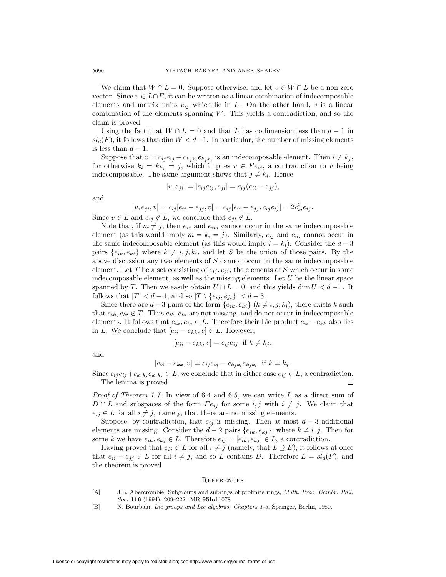We claim that  $W \cap L = 0$ . Suppose otherwise, and let  $v \in W \cap L$  be a non-zero vector. Since *v ∈ L∩E*, it can be written as a linear combination of indecomposable elements and matrix units  $e_{ij}$  which lie in  $L$ . On the other hand,  $v$  is a linear combination of the elements spanning *W*. This yields a contradiction, and so the claim is proved.

Using the fact that  $W \cap L = 0$  and that *L* has codimension less than  $d-1$  in  $sl_d(F)$ , it follows that dim  $W < d-1$ . In particular, the number of missing elements is less than  $d-1$ .

Suppose that  $v = c_{ij}e_{ij} + c_{k_jk_i}e_{k_jk_i}$  is an indecomposable element. Then  $i \neq k_j$ , for otherwise  $k_i = k_{k_i} = j$ , which implies  $v \in Fe_{ij}$ , a contradiction to *v* being indecomposable. The same argument shows that  $j \neq k_i$ . Hence

$$
[v, e_{ji}] = [c_{ij}e_{ij}, e_{ji}] = c_{ij}(e_{ii} - e_{jj}),
$$

and

$$
[v, e_{ji}, v] = c_{ij}[e_{ii} - e_{jj}, v] = c_{ij}[e_{ii} - e_{jj}, c_{ij}e_{ij}] = 2c_{ij}^2e_{ij}.
$$

Since  $v \in L$  and  $e_{ij} \notin L$ , we conclude that  $e_{ji} \notin L$ .

Note that, if  $m \neq j$ , then  $e_{ij}$  and  $e_{im}$  cannot occur in the same indecomposable element (as this would imply  $m = k_i = j$ ). Similarly,  $e_{ij}$  and  $e_{ni}$  cannot occur in the same indecomposable element (as this would imply  $i = k_i$ ). Consider the  $d-3$ pairs  $\{e_{ik}, e_{ki}\}\$  where  $k \neq i, j, k_i$ , and let *S* be the union of those pairs. By the above discussion any two elements of *S* cannot occur in the same indecomposable element. Let *T* be a set consisting of  $e_{ij}$ ,  $e_{ji}$ , the elements of *S* which occur in some indecomposable element, as well as the missing elements. Let *U* be the linear space spanned by *T*. Then we easily obtain  $U \cap L = 0$ , and this yields dim  $U < d-1$ . It follows that  $|T| < d-1$ , and so  $|T \setminus \{e_{ij}, e_{ji}\}| < d-3$ .

Since there are  $d-3$  pairs of the form  $\{e_{ik}, e_{ki}\}$  ( $k \neq i, j, k_i$ ), there exists  $k$  such that  $e_{ik}, e_{ki} \notin T$ . Thus  $e_{ik}, e_{ki}$  are not missing, and do not occur in indecomposable elements. It follows that  $e_{ik}$ ,  $e_{ki} \in L$ . Therefore their Lie product  $e_{ii} - e_{kk}$  also lies in *L*. We conclude that [*eii − ekk, v*] *∈ L*. However,

$$
[e_{ii} - e_{kk}, v] = c_{ij} e_{ij} \text{ if } k \neq k_j,
$$

and

$$
[e_{ii} - e_{kk}, v] = c_{ij}e_{ij} - c_{k_jk_i}e_{k_jk_i}
$$
 if  $k = k_j$ .

Since  $c_{ij}e_{ij}+c_{k_ik_i}e_{k_ik_i} \in L$ , we conclude that in either case  $e_{ij} \in L$ , a contradiction. The lemma is proved. □

*Proof of Theorem 1.7.* In view of 6.4 and 6.5, we can write *L* as a direct sum of *D* ∩ *L* and subspaces of the form  $Fe_{ij}$  for some *i, j* with  $i \neq j$ . We claim that  $e_{ij} \in L$  for all  $i \neq j$ , namely, that there are no missing elements.

Suppose, by contradiction, that  $e_{ij}$  is missing. Then at most  $d-3$  additional elements are missing. Consider the  $d-2$  pairs  $\{e_{ik}, e_{kj}\}$ , where  $k \neq i, j$ . Then for some *k* we have  $e_{ik}, e_{kj} \in L$ . Therefore  $e_{ij} = [e_{ik}, e_{kj}] \in L$ , a contradiction.

Having proved that  $e_{ij} \in L$  for all  $i \neq j$  (namely, that  $L \supseteq E$ ), it follows at once that  $e_{ii} − e_{jj} ∈ L$  for all  $i ≠ j$ , and so *L* contains *D*. Therefore  $L = sl_d(F)$ , and the theorem is proved.

#### **REFERENCES**

- [A] J.L. Abercrombie, Subgroups and subrings of profinite rings, *Math. Proc. Cambr. Phil. Soc.* **116** (1994), 209–222. MR **95h:**11078
- [B] N. Bourbaki, *Lie groups and Lie algebras, Chapters 1-3*, Springer, Berlin, 1980.